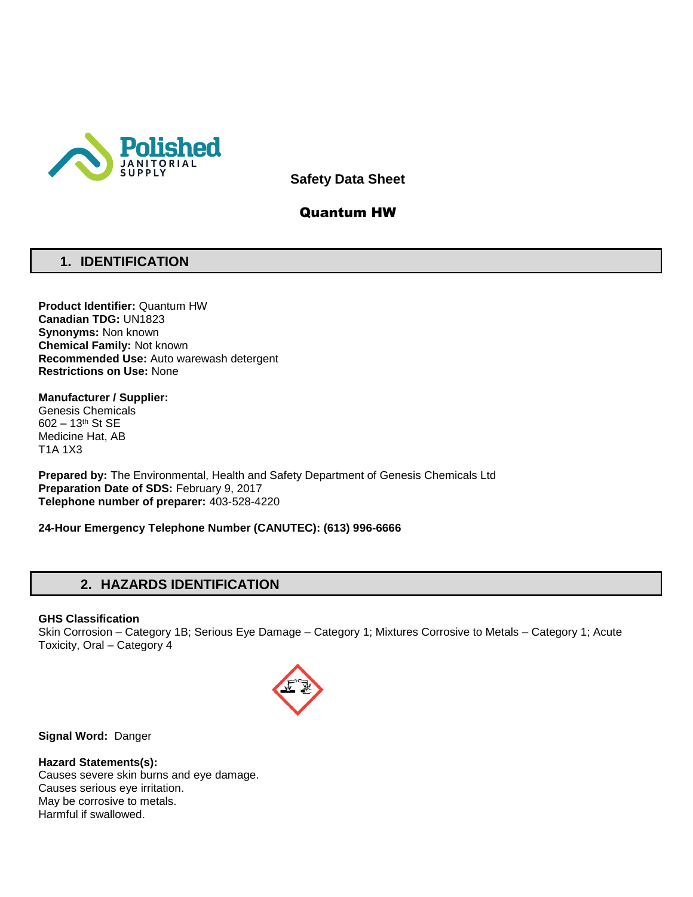

**Safety Data Sheet**

## Quantum HW

# **1. IDENTIFICATION**

**Product Identifier:** Quantum HW **Canadian TDG:** UN1823 **Synonyms:** Non known **Chemical Family:** Not known **Recommended Use:** Auto warewash detergent **Restrictions on Use:** None

**Manufacturer / Supplier:** Genesis Chemicals 602 – 13th St SE Medicine Hat, AB T1A 1X3

**Prepared by:** The Environmental, Health and Safety Department of Genesis Chemicals Ltd **Preparation Date of SDS:** February 9, 2017 **Telephone number of preparer:** 403-528-4220

**24-Hour Emergency Telephone Number (CANUTEC): (613) 996-6666**

# **2. HAZARDS IDENTIFICATION**

### **GHS Classification**

Skin Corrosion – Category 1B; Serious Eye Damage – Category 1; Mixtures Corrosive to Metals – Category 1; Acute Toxicity, Oral – Category 4



**Signal Word:** Danger

### **Hazard Statements(s):**

Causes severe skin burns and eye damage. Causes serious eye irritation. May be corrosive to metals. Harmful if swallowed.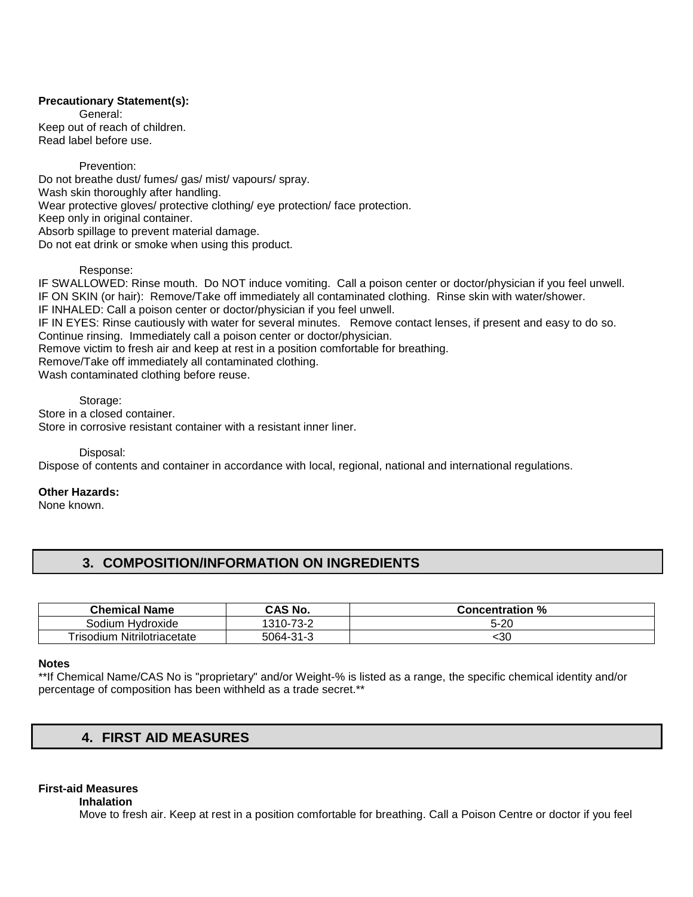### **Precautionary Statement(s):**

General: Keep out of reach of children. Read label before use.

#### Prevention:

Do not breathe dust/ fumes/ gas/ mist/ vapours/ spray. Wash skin thoroughly after handling. Wear protective gloves/ protective clothing/ eye protection/ face protection. Keep only in original container. Absorb spillage to prevent material damage. Do not eat drink or smoke when using this product.

### Response:

IF SWALLOWED: Rinse mouth. Do NOT induce vomiting. Call a poison center or doctor/physician if you feel unwell. IF ON SKIN (or hair): Remove/Take off immediately all contaminated clothing. Rinse skin with water/shower. IF INHALED: Call a poison center or doctor/physician if you feel unwell. IF IN EYES: Rinse cautiously with water for several minutes. Remove contact lenses, if present and easy to do so. Continue rinsing. Immediately call a poison center or doctor/physician. Remove victim to fresh air and keep at rest in a position comfortable for breathing. Remove/Take off immediately all contaminated clothing. Wash contaminated clothing before reuse.

#### Storage:

Store in a closed container. Store in corrosive resistant container with a resistant inner liner.

Disposal:

Dispose of contents and container in accordance with local, regional, national and international regulations.

### **Other Hazards:**

None known.

# **3. COMPOSITION/INFORMATION ON INGREDIENTS**

| <b>Chemical Name</b>               | CAS No.   | <b>Concentration %</b> |
|------------------------------------|-----------|------------------------|
| Sodium Hydroxide                   | 1310-73-2 | 5-20                   |
| <b>Trisodium Nitrilotriacetate</b> | 5064-31-3 | 30ء                    |

#### **Notes**

\*\*If Chemical Name/CAS No is "proprietary" and/or Weight-% is listed as a range, the specific chemical identity and/or percentage of composition has been withheld as a trade secret.\*\*

# **4. FIRST AID MEASURES**

### **First-aid Measures**

**Inhalation** 

Move to fresh air. Keep at rest in a position comfortable for breathing. Call a Poison Centre or doctor if you feel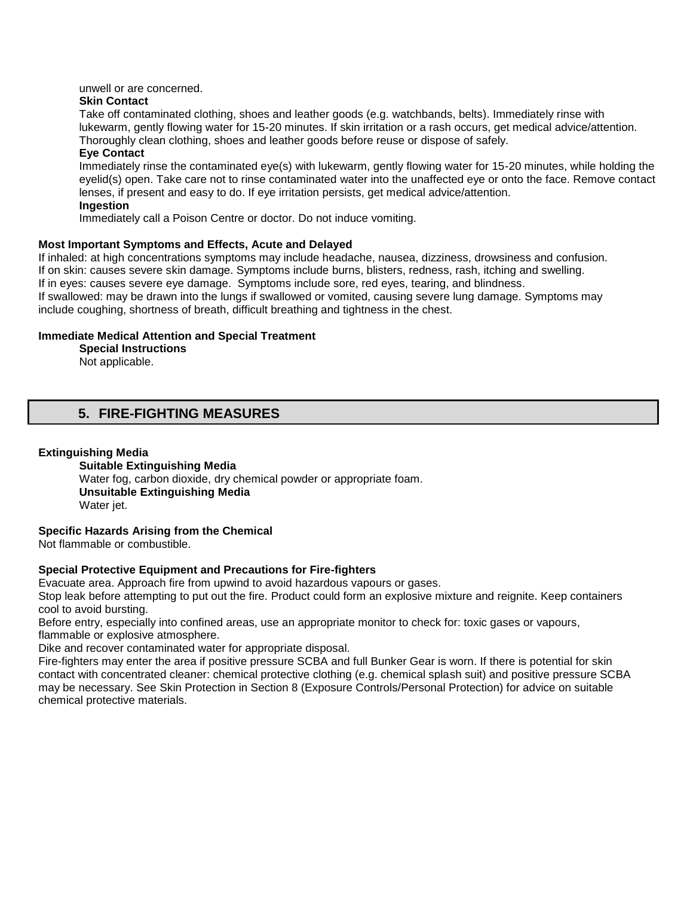unwell or are concerned.

#### **Skin Contact**

Take off contaminated clothing, shoes and leather goods (e.g. watchbands, belts). Immediately rinse with lukewarm, gently flowing water for 15-20 minutes. If skin irritation or a rash occurs, get medical advice/attention. Thoroughly clean clothing, shoes and leather goods before reuse or dispose of safely.

### **Eye Contact**

Immediately rinse the contaminated eye(s) with lukewarm, gently flowing water for 15-20 minutes, while holding the eyelid(s) open. Take care not to rinse contaminated water into the unaffected eye or onto the face. Remove contact lenses, if present and easy to do. If eye irritation persists, get medical advice/attention. **Ingestion** 

Immediately call a Poison Centre or doctor. Do not induce vomiting.

### **Most Important Symptoms and Effects, Acute and Delayed**

If inhaled: at high concentrations symptoms may include headache, nausea, dizziness, drowsiness and confusion. If on skin: causes severe skin damage. Symptoms include burns, blisters, redness, rash, itching and swelling. If in eyes: causes severe eye damage. Symptoms include sore, red eyes, tearing, and blindness. If swallowed: may be drawn into the lungs if swallowed or vomited, causing severe lung damage. Symptoms may include coughing, shortness of breath, difficult breathing and tightness in the chest.

### **Immediate Medical Attention and Special Treatment**

**Special Instructions** 

Not applicable.

## **5. FIRE-FIGHTING MEASURES**

#### **Extinguishing Media**

**Suitable Extinguishing Media** Water fog, carbon dioxide, dry chemical powder or appropriate foam. **Unsuitable Extinguishing Media**  Water jet.

### **Specific Hazards Arising from the Chemical**

Not flammable or combustible.

### **Special Protective Equipment and Precautions for Fire-fighters**

Evacuate area. Approach fire from upwind to avoid hazardous vapours or gases.

Stop leak before attempting to put out the fire. Product could form an explosive mixture and reignite. Keep containers cool to avoid bursting.

Before entry, especially into confined areas, use an appropriate monitor to check for: toxic gases or vapours, flammable or explosive atmosphere.

Dike and recover contaminated water for appropriate disposal.

Fire-fighters may enter the area if positive pressure SCBA and full Bunker Gear is worn. If there is potential for skin contact with concentrated cleaner: chemical protective clothing (e.g. chemical splash suit) and positive pressure SCBA may be necessary. See Skin Protection in Section 8 (Exposure Controls/Personal Protection) for advice on suitable chemical protective materials.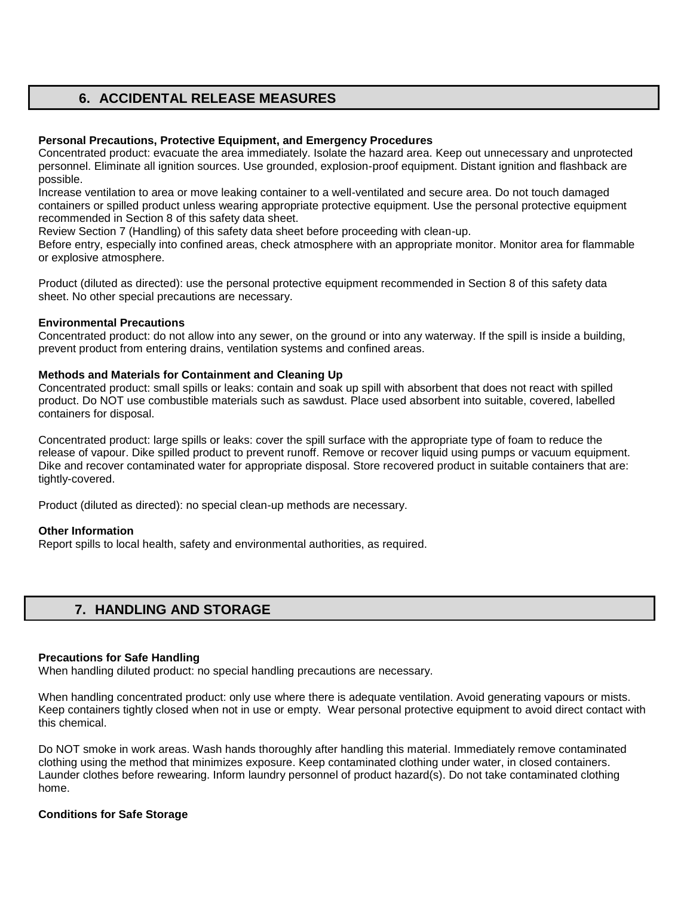# **6. ACCIDENTAL RELEASE MEASURES**

### **Personal Precautions, Protective Equipment, and Emergency Procedures**

Concentrated product: evacuate the area immediately. Isolate the hazard area. Keep out unnecessary and unprotected personnel. Eliminate all ignition sources. Use grounded, explosion-proof equipment. Distant ignition and flashback are possible.

Increase ventilation to area or move leaking container to a well-ventilated and secure area. Do not touch damaged containers or spilled product unless wearing appropriate protective equipment. Use the personal protective equipment recommended in Section 8 of this safety data sheet.

Review Section 7 (Handling) of this safety data sheet before proceeding with clean-up.

Before entry, especially into confined areas, check atmosphere with an appropriate monitor. Monitor area for flammable or explosive atmosphere.

Product (diluted as directed): use the personal protective equipment recommended in Section 8 of this safety data sheet. No other special precautions are necessary.

### **Environmental Precautions**

Concentrated product: do not allow into any sewer, on the ground or into any waterway. If the spill is inside a building, prevent product from entering drains, ventilation systems and confined areas.

### **Methods and Materials for Containment and Cleaning Up**

Concentrated product: small spills or leaks: contain and soak up spill with absorbent that does not react with spilled product. Do NOT use combustible materials such as sawdust. Place used absorbent into suitable, covered, labelled containers for disposal.

Concentrated product: large spills or leaks: cover the spill surface with the appropriate type of foam to reduce the release of vapour. Dike spilled product to prevent runoff. Remove or recover liquid using pumps or vacuum equipment. Dike and recover contaminated water for appropriate disposal. Store recovered product in suitable containers that are: tightly-covered.

Product (diluted as directed): no special clean-up methods are necessary.

### **Other Information**

Report spills to local health, safety and environmental authorities, as required.

## **7. HANDLING AND STORAGE**

### **Precautions for Safe Handling**

When handling diluted product: no special handling precautions are necessary.

When handling concentrated product: only use where there is adequate ventilation. Avoid generating vapours or mists. Keep containers tightly closed when not in use or empty. Wear personal protective equipment to avoid direct contact with this chemical.

Do NOT smoke in work areas. Wash hands thoroughly after handling this material. Immediately remove contaminated clothing using the method that minimizes exposure. Keep contaminated clothing under water, in closed containers. Launder clothes before rewearing. Inform laundry personnel of product hazard(s). Do not take contaminated clothing home.

### **Conditions for Safe Storage**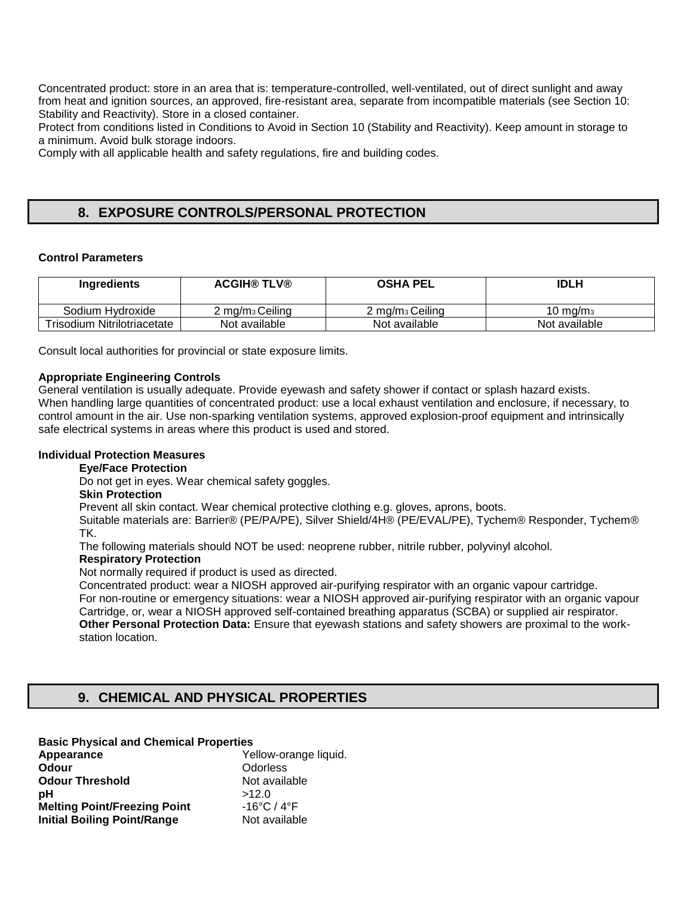Concentrated product: store in an area that is: temperature-controlled, well-ventilated, out of direct sunlight and away from heat and ignition sources, an approved, fire-resistant area, separate from incompatible materials (see Section 10: Stability and Reactivity). Store in a closed container.

Protect from conditions listed in Conditions to Avoid in Section 10 (Stability and Reactivity). Keep amount in storage to a minimum. Avoid bulk storage indoors.

Comply with all applicable health and safety regulations, fire and building codes.

# **8. EXPOSURE CONTROLS/PERSONAL PROTECTION**

### **Control Parameters**

| Ingredients                 | <b>ACGIH® TLV®</b>            | <b>OSHA PEL</b>               | <b>IDLH</b>         |
|-----------------------------|-------------------------------|-------------------------------|---------------------|
| Sodium Hydroxide            | $2 \,\mathrm{mg/m}_3$ Ceiling | $2 \,\mathrm{mg/m}_3$ Ceiling | $10 \text{ ma/m}_3$ |
| Trisodium Nitrilotriacetate | Not available                 | Not available                 | Not available       |

Consult local authorities for provincial or state exposure limits.

### **Appropriate Engineering Controls**

General ventilation is usually adequate. Provide eyewash and safety shower if contact or splash hazard exists. When handling large quantities of concentrated product: use a local exhaust ventilation and enclosure, if necessary, to control amount in the air. Use non-sparking ventilation systems, approved explosion-proof equipment and intrinsically safe electrical systems in areas where this product is used and stored.

### **Individual Protection Measures**

### **Eye/Face Protection**

Do not get in eyes. Wear chemical safety goggles.

### **Skin Protection**

Prevent all skin contact. Wear chemical protective clothing e.g. gloves, aprons, boots.

Suitable materials are: Barrier® (PE/PA/PE), Silver Shield/4H® (PE/EVAL/PE), Tychem® Responder, Tychem® TK.

The following materials should NOT be used: neoprene rubber, nitrile rubber, polyvinyl alcohol.

### **Respiratory Protection**

Not normally required if product is used as directed.

Concentrated product: wear a NIOSH approved air-purifying respirator with an organic vapour cartridge. For non-routine or emergency situations: wear a NIOSH approved air-purifying respirator with an organic vapour Cartridge, or, wear a NIOSH approved self-contained breathing apparatus (SCBA) or supplied air respirator. **Other Personal Protection Data:** Ensure that eyewash stations and safety showers are proximal to the workstation location.

# **9. CHEMICAL AND PHYSICAL PROPERTIES**

### **Basic Physical and Chemical Properties**

| Appearance                          | Yellow-orange liquid.            |
|-------------------------------------|----------------------------------|
| Odour                               | Odorless                         |
| <b>Odour Threshold</b>              | Not available                    |
| рH                                  | >12.0                            |
| <b>Melting Point/Freezing Point</b> | $-16^{\circ}$ C / 4 $^{\circ}$ F |
| <b>Initial Boiling Point/Range</b>  | Not available                    |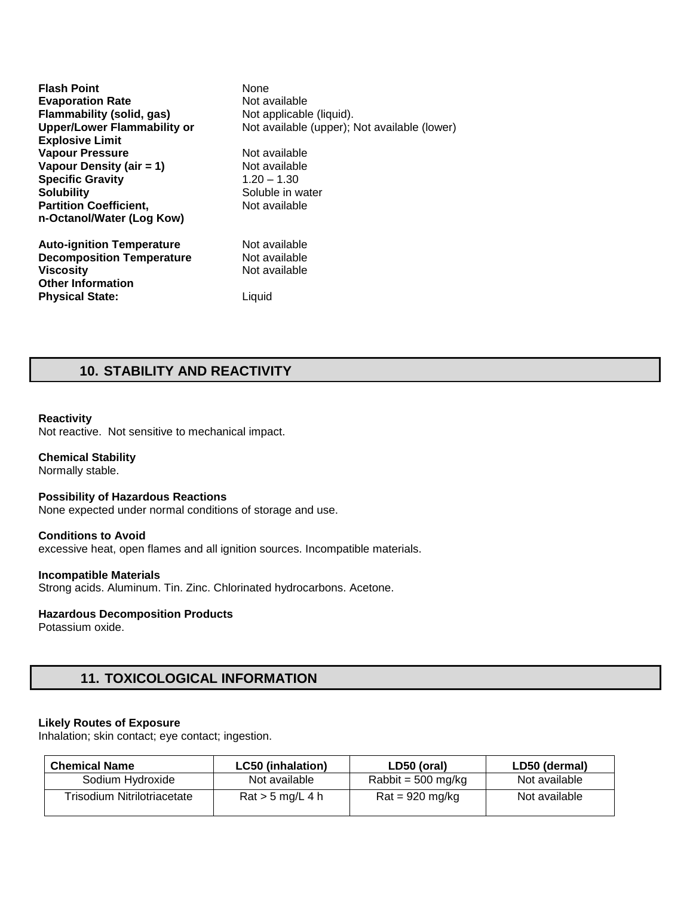**Flash Point None Evaporation Rate Not available Flammability (solid, gas)** Not applicable (liquid).<br> **Upper/Lower Flammability or** Not available (upper); I Not available (upper); Not available (lower) **Explosive Limit Vapour Pressure Not available Vapour Density (air = 1)** Not available **Specific Gravity** 1.20 – 1.30 **Solubility**<br> **Partition Coefficient.** The Soluble in water<br> **Partition Coefficient.** The Not available **Partition Coefficient, n-Octanol/Water (Log Kow) Auto-ignition Temperature** Not available **Decomposition Temperature Not available**<br>**Viscosity Not available Viscosity Other Information Physical State:** Liquid

# **10. STABILITY AND REACTIVITY**

#### **Reactivity**

Not reactive. Not sensitive to mechanical impact.

### **Chemical Stability**

Normally stable.

#### **Possibility of Hazardous Reactions**

None expected under normal conditions of storage and use.

#### **Conditions to Avoid**

excessive heat, open flames and all ignition sources. Incompatible materials.

#### **Incompatible Materials**

Strong acids. Aluminum. Tin. Zinc. Chlorinated hydrocarbons. Acetone.

#### **Hazardous Decomposition Products**

Potassium oxide.

# **11. TOXICOLOGICAL INFORMATION**

#### **Likely Routes of Exposure**

Inhalation; skin contact; eye contact; ingestion.

| <b>Chemical Name</b>        | <b>LC50 (inhalation)</b>                  | LD50 (oral)                      | LD50 (dermal) |
|-----------------------------|-------------------------------------------|----------------------------------|---------------|
| Sodium Hydroxide            | Not available                             | Rabbit = $500 \text{ mg/kg}$     | Not available |
| Trisodium Nitrilotriacetate | $\text{Rat} > 5 \text{ mg/L} 4 \text{ h}$ | $\text{Rat} = 920 \text{ mg/kg}$ | Not available |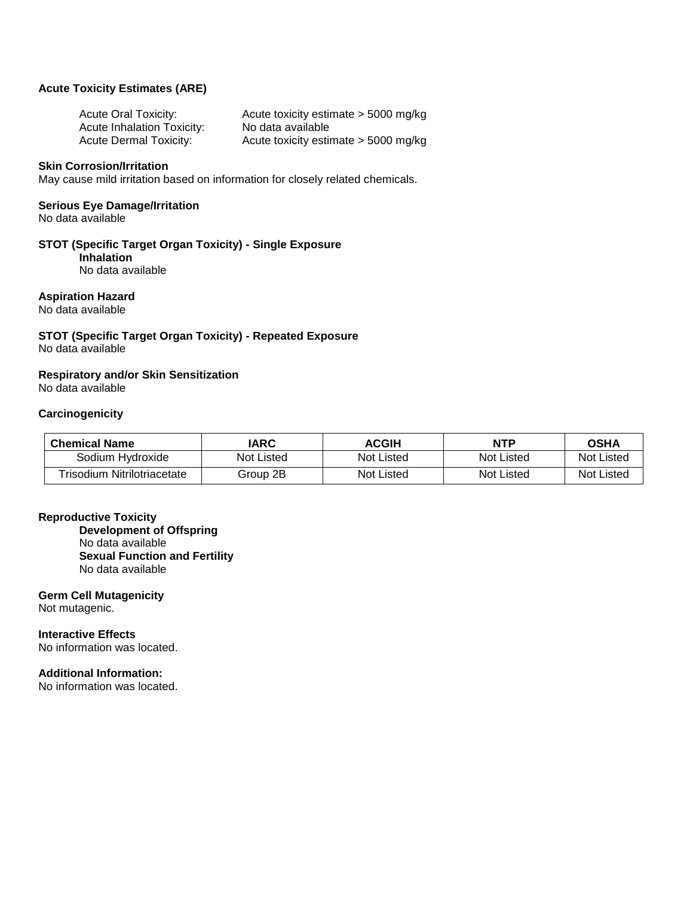### **Acute Toxicity Estimates (ARE)**

| <b>Acute Oral Toxicity:</b>       | Acute toxicity estimate > 5000 mg/kg   |
|-----------------------------------|----------------------------------------|
| <b>Acute Inhalation Toxicity:</b> | No data available                      |
| <b>Acute Dermal Toxicity:</b>     | Acute toxicity estimate $>$ 5000 mg/kg |

#### **Skin Corrosion/Irritation**

May cause mild irritation based on information for closely related chemicals.

## **Serious Eye Damage/Irritation**

No data available

### **STOT (Specific Target Organ Toxicity) - Single Exposure**

**Inhalation**  No data available

### **Aspiration Hazard**

No data available

### **STOT (Specific Target Organ Toxicity) - Repeated Exposure**  No data available

## **Respiratory and/or Skin Sensitization**

No data available

### **Carcinogenicity**

| <b>Chemical Name</b>        | IARC       | <b>ACGIH</b> | <b>NTP</b> | <b>OSHA</b>       |
|-----------------------------|------------|--------------|------------|-------------------|
| Sodium Hydroxide            | Not Listed | Not Listed   | Not Listed | <b>Not Listed</b> |
| Trisodium Nitrilotriacetate | Group 2B   | Not Listed   | Not Listed | <b>Not Listed</b> |

### **Reproductive Toxicity**

**Development of Offspring**  No data available **Sexual Function and Fertility**  No data available

### **Germ Cell Mutagenicity**

Not mutagenic.

**Interactive Effects**  No information was located.

### **Additional Information:**

No information was located.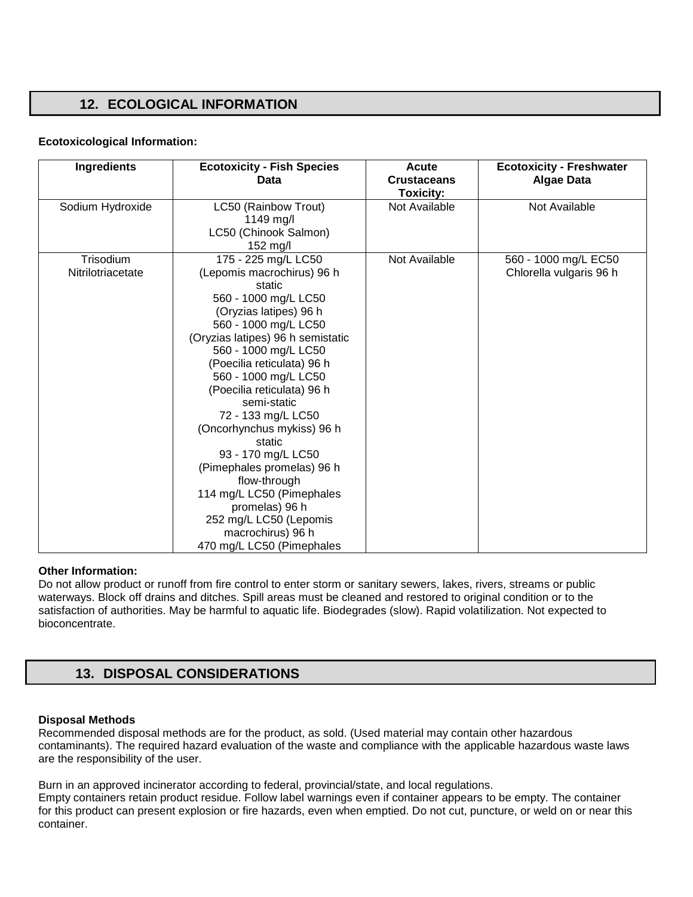# **12. ECOLOGICAL INFORMATION**

### **Ecotoxicological Information:**

| <b>Ingredients</b>             | <b>Ecotoxicity - Fish Species</b><br>Data                                                                                                                                                                                                                                                                                                                                                                                                                                                                                                                          | Acute<br><b>Crustaceans</b><br><b>Toxicity:</b> | <b>Ecotoxicity - Freshwater</b><br><b>Algae Data</b> |
|--------------------------------|--------------------------------------------------------------------------------------------------------------------------------------------------------------------------------------------------------------------------------------------------------------------------------------------------------------------------------------------------------------------------------------------------------------------------------------------------------------------------------------------------------------------------------------------------------------------|-------------------------------------------------|------------------------------------------------------|
| Sodium Hydroxide               | LC50 (Rainbow Trout)<br>1149 mg/l<br>LC50 (Chinook Salmon)<br>152 mg/l                                                                                                                                                                                                                                                                                                                                                                                                                                                                                             | Not Available                                   | Not Available                                        |
| Trisodium<br>Nitrilotriacetate | 175 - 225 mg/L LC50<br>(Lepomis macrochirus) 96 h<br>static<br>560 - 1000 mg/L LC50<br>(Oryzias latipes) 96 h<br>560 - 1000 mg/L LC50<br>(Oryzias latipes) 96 h semistatic<br>560 - 1000 mg/L LC50<br>(Poecilia reticulata) 96 h<br>560 - 1000 mg/L LC50<br>(Poecilia reticulata) 96 h<br>semi-static<br>72 - 133 mg/L LC50<br>(Oncorhynchus mykiss) 96 h<br>static<br>93 - 170 mg/L LC50<br>(Pimephales promelas) 96 h<br>flow-through<br>114 mg/L LC50 (Pimephales<br>promelas) 96 h<br>252 mg/L LC50 (Lepomis<br>macrochirus) 96 h<br>470 mg/L LC50 (Pimephales | Not Available                                   | 560 - 1000 mg/L EC50<br>Chlorella vulgaris 96 h      |

### **Other Information:**

Do not allow product or runoff from fire control to enter storm or sanitary sewers, lakes, rivers, streams or public waterways. Block off drains and ditches. Spill areas must be cleaned and restored to original condition or to the satisfaction of authorities. May be harmful to aquatic life. Biodegrades (slow). Rapid volatilization. Not expected to bioconcentrate.

# **13. DISPOSAL CONSIDERATIONS**

### **Disposal Methods**

container.

Recommended disposal methods are for the product, as sold. (Used material may contain other hazardous contaminants). The required hazard evaluation of the waste and compliance with the applicable hazardous waste laws are the responsibility of the user.

Burn in an approved incinerator according to federal, provincial/state, and local regulations. Empty containers retain product residue. Follow label warnings even if container appears to be empty. The container for this product can present explosion or fire hazards, even when emptied. Do not cut, puncture, or weld on or near this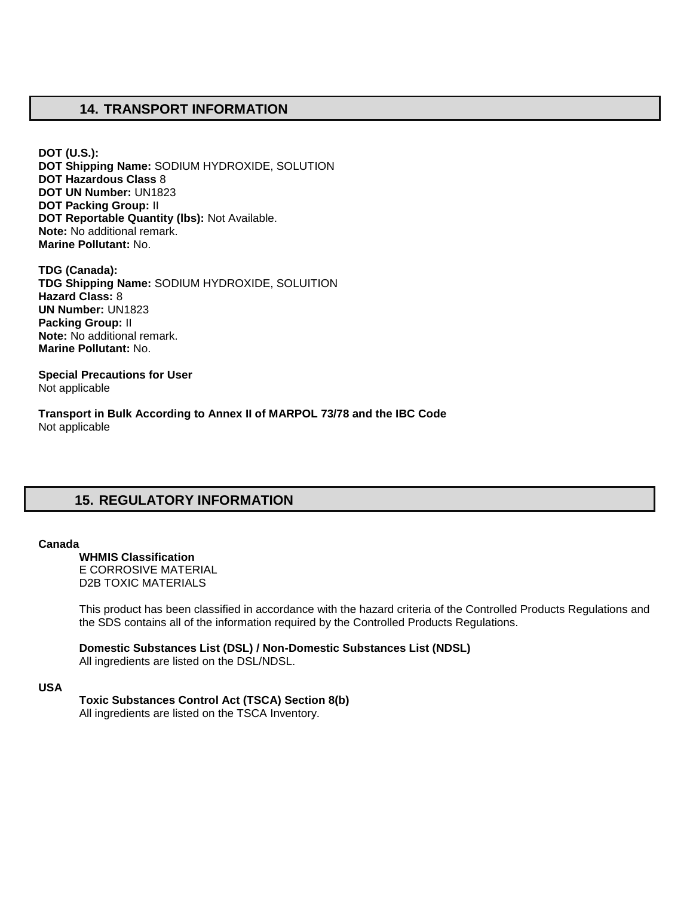# **14. TRANSPORT INFORMATION**

**DOT (U.S.): DOT Shipping Name:** SODIUM HYDROXIDE, SOLUTION **DOT Hazardous Class** 8 **DOT UN Number:** UN1823 **DOT Packing Group:** II **DOT Reportable Quantity (lbs):** Not Available. **Note:** No additional remark. **Marine Pollutant:** No.

**TDG (Canada): TDG Shipping Name:** SODIUM HYDROXIDE, SOLUITION **Hazard Class:** 8 **UN Number:** UN1823 **Packing Group:** II **Note:** No additional remark. **Marine Pollutant:** No.

**Special Precautions for User** Not applicable

**Transport in Bulk According to Annex II of MARPOL 73/78 and the IBC Code**  Not applicable

# **15. REGULATORY INFORMATION**

#### **Canada**

**WHMIS Classification**  E CORROSIVE MATERIAL D2B TOXIC MATERIALS

This product has been classified in accordance with the hazard criteria of the Controlled Products Regulations and the SDS contains all of the information required by the Controlled Products Regulations.

**Domestic Substances List (DSL) / Non-Domestic Substances List (NDSL)**  All ingredients are listed on the DSL/NDSL.

#### **USA**

### **Toxic Substances Control Act (TSCA) Section 8(b)**

All ingredients are listed on the TSCA Inventory.